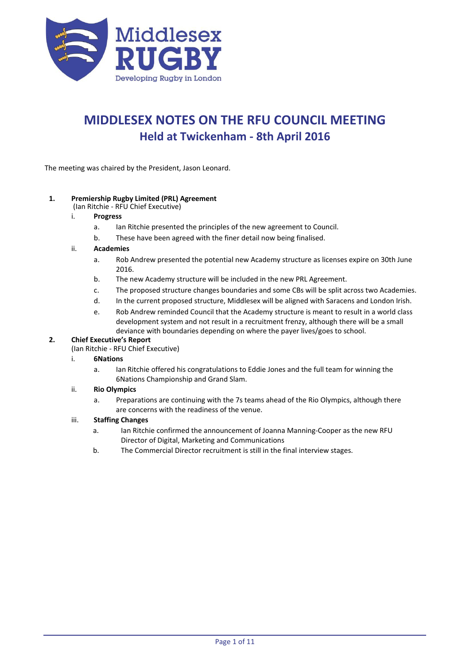

# **MIDDLESEX NOTES ON THE RFU COUNCIL MEETING Held at Twickenham - 8th April 2016**

The meeting was chaired by the President, Jason Leonard.

## **1. Premiership Rugby Limited (PRL) Agreement**

- (Ian Ritchie RFU Chief Executive)
- i. **Progress**
	- a. Ian Ritchie presented the principles of the new agreement to Council.
	- b. These have been agreed with the finer detail now being finalised.

#### ii. **Academies**

- a. Rob Andrew presented the potential new Academy structure as licenses expire on 30th June 2016.
- b. The new Academy structure will be included in the new PRL Agreement.
- c. The proposed structure changes boundaries and some CBs will be split across two Academies.
- d. In the current proposed structure, Middlesex will be aligned with Saracens and London Irish.
- e. Rob Andrew reminded Council that the Academy structure is meant to result in a world class development system and not result in a recruitment frenzy, although there will be a small deviance with boundaries depending on where the payer lives/goes to school.

# **2. Chief Executive's Report**

(Ian Ritchie - RFU Chief Executive)

#### i. **6Nations**

a. Ian Ritchie offered his congratulations to Eddie Jones and the full team for winning the 6Nations Championship and Grand Slam.

#### ii. **Rio Olympics**

a. Preparations are continuing with the 7s teams ahead of the Rio Olympics, although there are concerns with the readiness of the venue.

# iii. **Staffing Changes**

- a. Ian Ritchie confirmed the announcement of Joanna Manning-Cooper as the new RFU Director of Digital, Marketing and Communications
- b. The Commercial Director recruitment is still in the final interview stages.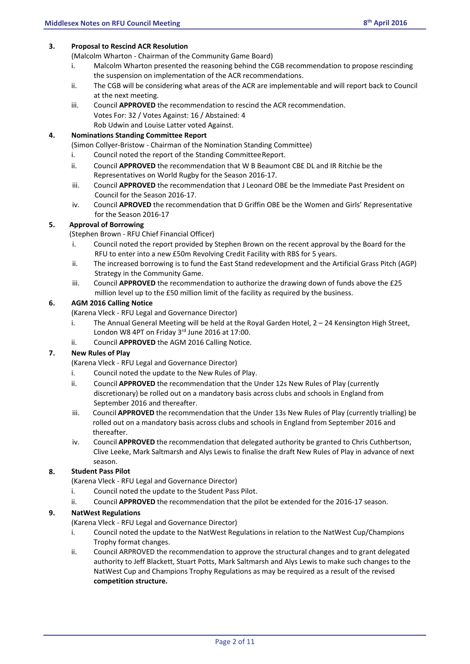## **3. Proposal to Rescind ACR Resolution**

(Malcolm Wharton - Chairman of the Community Game Board)

- i. Malcolm Wharton presented the reasoning behind the CGB recommendation to propose rescinding the suspension on implementation of the ACR recommendations.
- ii. The CGB will be considering what areas of the ACR are implementable and will report back to Council at the next meeting.
- iii. Council **APPROVED** the recommendation to rescind the ACR recommendation. Votes For: 32 / Votes Against: 16 / Abstained: 4 Rob Udwin and Louise Latter voted Against.

## **4. Nominations Standing Committee Report**

(Simon Collyer-Bristow - Chairman of the Nomination Standing Committee)

- i. Council noted the report of the Standing CommitteeReport.
- ii. Council **APPROVED** the recommendation that W B Beaumont CBE DL and IR Ritchie be the Representatives on World Rugby for the Season 2016-17.
- iii. Council **APPROVED** the recommendation that J Leonard OBE be the Immediate Past President on Council for the Season 2016-17.
- iv. Council **APROVED** the recommendation that D Griffin OBE be the Women and Girls' Representative for the Season 2016-17

# **5. Approval of Borrowing**

(Stephen Brown - RFU Chief Financial Officer)

- i. Council noted the report provided by Stephen Brown on the recent approval by the Board for the RFU to enter into a new £50m Revolving Credit Facility with RBS for 5 years.
- ii. The increased borrowing is to fund the East Stand redevelopment and the Artificial Grass Pitch (AGP) Strategy in the Community Game.
- iii. Council **APPROVED** the recommendation to authorize the drawing down of funds above the £25 million level up to the £50 million limit of the facility as required by the business.

## **6. AGM 2016 Calling Notice**

(Karena Vleck - RFU Legal and Governance Director)

- i. The Annual General Meeting will be held at the Royal Garden Hotel, 2 24 Kensington High Street, London W8 4PT on Friday 3rd June 2016 at 17:00.
- ii. Council **APPROVED** the AGM 2016 Calling Notice.

# **7. New Rules of Play**

(Karena Vleck - RFU Legal and Governance Director)

- i. Council noted the update to the New Rules of Play.
- ii. Council **APPROVED** the recommendation that the Under 12s New Rules of Play (currently discretionary) be rolled out on a mandatory basis across clubs and schools in England from September 2016 and thereafter.
- iii. Council **APPROVED** the recommendation that the Under 13s New Rules of Play (currently trialling) be rolled out on a mandatory basis across clubs and schools in England from September 2016 and thereafter.
- iv. Council **APPROVED** the recommendation that delegated authority be granted to Chris Cuthbertson, Clive Leeke, Mark Saltmarsh and Alys Lewis to finalise the draft New Rules of Play in advance of next season.

# **8. Student Pass Pilot**

- (Karena Vleck RFU Legal and Governance Director)
- i. Council noted the update to the Student Pass Pilot.
- ii. Council **APPROVED** the recommendation that the pilot be extended for the 2016-17 season.

#### **9. NatWest Regulations**

- (Karena Vleck RFU Legal and Governance Director)
- i. Council noted the update to the NatWest Regulations in relation to the NatWest Cup/Champions Trophy format changes.
- ii. Council ARPROVED the recommendation to approve the structural changes and to grant delegated authority to Jeff Blackett, Stuart Potts, Mark Saltmarsh and Alys Lewis to make such changes to the NatWest Cup and Champions Trophy Regulations as may be required as a result of the revised **competition structure.**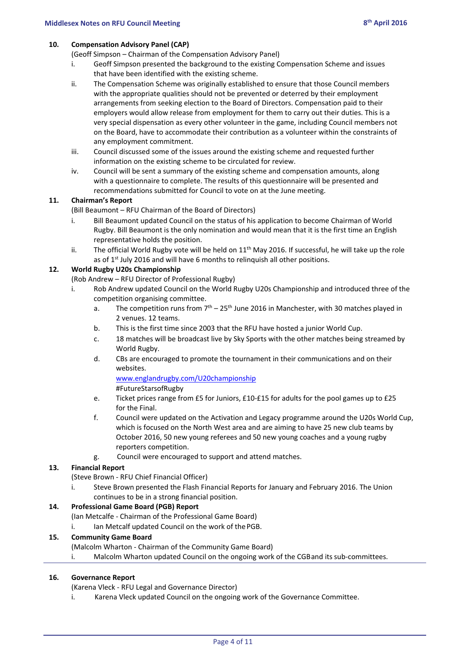#### **10. Compensation Advisory Panel (CAP)**

(Geoff Simpson – Chairman of the Compensation Advisory Panel)

- i. Geoff Simpson presented the background to the existing Compensation Scheme and issues that have been identified with the existing scheme.
- ii. The Compensation Scheme was originally established to ensure that those Council members with the appropriate qualities should not be prevented or deterred by their employment arrangements from seeking election to the Board of Directors. Compensation paid to their employers would allow release from employment for them to carry out their duties. This is a very special dispensation as every other volunteer in the game, including Council members not on the Board, have to accommodate their contribution as a volunteer within the constraints of any employment commitment.
- iii. Council discussed some of the issues around the existing scheme and requested further information on the existing scheme to be circulated for review.
- iv. Council will be sent a summary of the existing scheme and compensation amounts, along with a questionnaire to complete. The results of this questionnaire will be presented and recommendations submitted for Council to vote on at the June meeting.

## **11. Chairman's Report**

(Bill Beaumont – RFU Chairman of the Board of Directors)

- i. Bill Beaumont updated Council on the status of his application to become Chairman of World Rugby. Bill Beaumont is the only nomination and would mean that it is the first time an English representative holds the position.
- ii. The official World Rugby vote will be held on  $11<sup>th</sup>$  May 2016. If successful, he will take up the role as of  $1<sup>st</sup>$  July 2016 and will have 6 months to relinquish all other positions.

## **12. World Rugby U20s Championship**

(Rob Andrew – RFU Director of Professional Rugby)

- i. Rob Andrew updated Council on the World Rugby U20s Championship and introduced three of the competition organising committee.
	- a. The competition runs from  $7<sup>th</sup> 25<sup>th</sup>$  June 2016 in Manchester, with 30 matches played in 2 venues. 12 teams.
	- b. This is the first time since 2003 that the RFU have hosted a junior World Cup.
	- c. 18 matches will be broadcast live by Sky Sports with the other matches being streamed by World Rugby.
	- d. CBs are encouraged to promote the tournament in their communications and on their websites.

[www.englandrugby.com/U20championship](http://www.englandrugby.com/U20championship)

#FutureStarsofRugby

- e. Ticket prices range from £5 for Juniors, £10-£15 for adults for the pool games up to £25 for the Final.
- f. Council were updated on the Activation and Legacy programme around the U20s World Cup, which is focused on the North West area and are aiming to have 25 new club teams by October 2016, 50 new young referees and 50 new young coaches and a young rugby reporters competition.
- g. Council were encouraged to support and attend matches.

# **13. Financial Report**

(Steve Brown - RFU Chief Financial Officer)

Steve Brown presented the Flash Financial Reports for January and February 2016. The Union continues to be in a strong financial position.

# **14. Professional Game Board (PGB) Report**

(Ian Metcalfe - Chairman of the Professional Game Board)

i. Ian Metcalf updated Council on the work of the PGB.

#### **15. Community Game Board**

- (Malcolm Wharton Chairman of the Community Game Board)
- i. Malcolm Wharton updated Council on the ongoing work of the CGBand its sub-committees.

#### **16. Governance Report**

(Karena Vleck - RFU Legal and Governance Director)

i. Karena Vleck updated Council on the ongoing work of the Governance Committee.